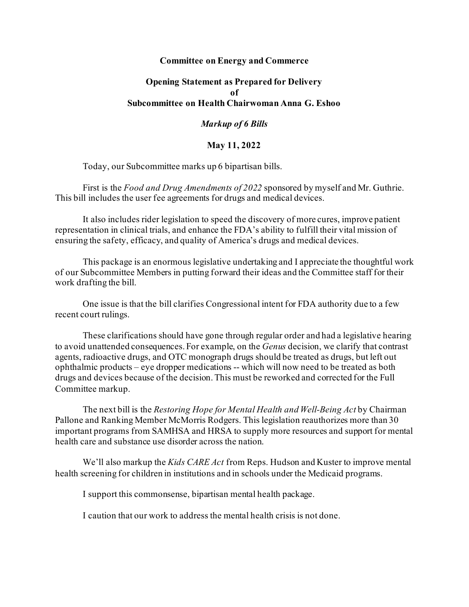## **Committee on Energy and Commerce**

## **Opening Statement as Prepared for Delivery of Subcommittee on Health Chairwoman Anna G. Eshoo**

## *Markup of 6 Bills*

## **May 11, 2022**

Today, our Subcommittee marks up 6 bipartisan bills.

First is the *Food and Drug Amendments of 2022* sponsored by myself and Mr. Guthrie. This bill includes the user fee agreements for drugs and medical devices.

It also includes rider legislation to speed the discovery of more cures, improve patient representation in clinical trials, and enhance the FDA's ability to fulfill their vital mission of ensuring the safety, efficacy, and quality of America's drugs and medical devices.

This package is an enormous legislative undertaking and I appreciate the thoughtful work of our Subcommittee Members in putting forward their ideas and the Committee staff for their work drafting the bill.

One issue is that the bill clarifies Congressional intent for FDA authority due to a few recent court rulings.

These clarifications should have gone through regular order and had a legislative hearing to avoid unattended consequences. For example, on the *Genus* decision, we clarify that contrast agents, radioactive drugs, and OTC monograph drugs should be treated as drugs, but left out ophthalmic products – eye dropper medications -- which will now need to be treated as both drugs and devices because of the decision. This must be reworked and corrected for the Full Committee markup.

The next bill is the *Restoring Hope for Mental Health and Well-Being Act* by Chairman Pallone and Ranking Member McMorris Rodgers. This legislation reauthorizes more than 30 important programs from SAMHSA and HRSA to supply more resources and support for mental health care and substance use disorder across the nation.

We'll also markup the *Kids CARE Act* from Reps. Hudson and Kuster to improve mental health screening for children in institutions and in schools under the Medicaid programs.

I support this commonsense, bipartisan mental health package.

I caution that our work to address the mental health crisis is not done.